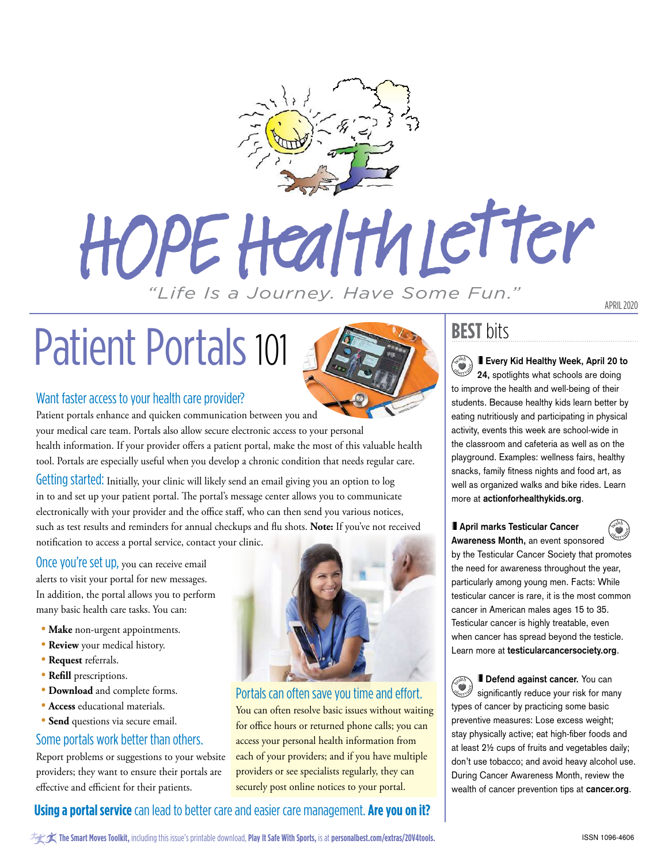

# HOPE Health Letter

### *"Life Is a Journey. Have Some Fun."*

## Patient Portals 101



### Want faster access to your health care provider?

Patient portals enhance and quicken communication between you and

your medical care team. Portals also allow secure electronic access to your personal health information. If your provider offers a patient portal, make the most of this valuable health tool. Portals are especially useful when you develop a chronic condition that needs regular care.

Getting started: Initially, your clinic will likely send an email giving you an option to log in to and set up your patient portal. The portal's message center allows you to communicate electronically with your provider and the office staff, who can then send you various notices, such as test results and reminders for annual checkups and flu shots. **Note:** If you've not received notification to access a portal service, contact your clinic.

Once you're set up, you can receive email alerts to visit your portal for new messages. In addition, the portal allows you to perform many basic health care tasks. You can:

- **Make** non-urgent appointments.
- **Review** your medical history.
- **Request** referrals.
- **Refill** prescriptions.
- **Download** and complete forms.
- **Access** educational materials.
- **Send** questions via secure email.

### Some portals work better than others.

Report problems or suggestions to your website providers; they want to ensure their portals are effective and efficient for their patients.



### Portals can often save you time and effort.

You can often resolve basic issues without waiting for office hours or returned phone calls; you can access your personal health information from each of your providers; and if you have multiple providers or see specialists regularly, they can securely post online notices to your portal.

### **BEST** bits

**Every Kid Healthy Week, April 20 to 24,** spotlights what schools are doing to improve the health and well-being of their students. Because healthy kids learn better by eating nutritiously and participating in physical activity, events this week are school-wide in the classroom and cafeteria as well as on the playground. Examples: wellness fairs, healthy snacks, family fitness nights and food art, as well as organized walks and bike rides. Learn more at **[actionforhealthykids.org](http://www.actionforhealthykids.org)**. <sup>h</sup>ealt<sup>h</sup> eb<sub>serv</sub>ed

#### **April marks Testicular Cancer**

**Awareness Month,** an event sponsored by the Testicular Cancer Society that promotes the need for awareness throughout the year, particularly among young men. Facts: While testicular cancer is rare, it is the most common cancer in American males ages 15 to 35. Testicular cancer is highly treatable, even when cancer has spread beyond the testicle. Learn more at **[testicularcancersociety.org](http://www.testicularcancersociety.org)**. **Observance** 

**Defend against cancer.** You can significantly reduce your risk for many types of cancer by practicing some basic preventive measures: Lose excess weight; stay physically active; eat high-fiber foods and at least 2½ cups of fruits and vegetables daily; don't use tobacco; and avoid heavy alcohol use. During Cancer Awareness Month, review the wealth of cancer prevention tips at **[cancer.org](http://www.cancer.org)**. <sup>h</sup>ealt<sup>h</sup> eb<sub>ser</sub> van

### **Using a portal service** can lead to better care and easier care management. **Are you on it?**

APRIL 2020

<sup>h</sup>ealt<sup>h</sup>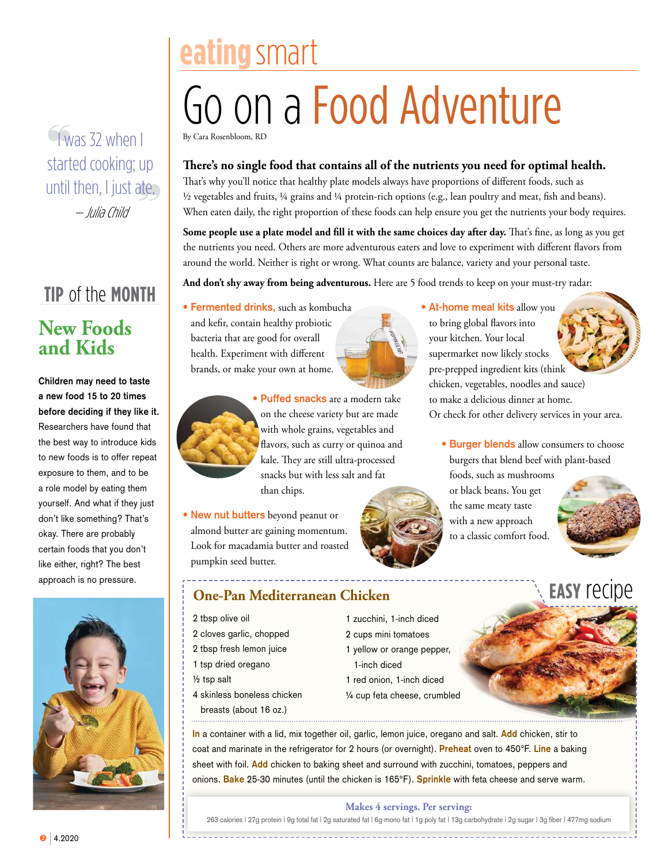$\sqrt{\text{was}}$  32 when I started cooking; up until then, I just ate. — Julia Child

### **tip** of the **month New Foods and Kids**

**Children may need to taste a new food 15 to 20 times before deciding if they like it.**  Researchers have found that the best way to introduce kids to new foods is to offer repeat exposure to them, and to be a role model by eating them yourself. And what if they just don't like something? That's okay. There are probably certain foods that you don't like either, right? The best approach is no pressure.



### **eating**smart Go on a Food Adventure By Cara Rosenbloom, RD

### **There's no single food that contains all of the nutrients you need for optimal health.**

That's why you'll notice that healthy plate models always have proportions of different foods, such as ½ vegetables and fruits, ¼ grains and ¼ protein-rich options (e.g., lean poultry and meat, fish and beans). When eaten daily, the right proportion of these foods can help ensure you get the nutrients your body requires.

**Some people use a plate model and fill it with the same choices day after day.** That's fine, as long as you get the nutrients you need. Others are more adventurous eaters and love to experiment with different flavors from around the world. Neither is right or wrong. What counts are balance, variety and your personal taste.

And don't shy away from being adventurous. Here are 5 food trends to keep on your must-try radar:

**• Fermented drinks,** such as kombucha and kefir, contain healthy probiotic bacteria that are good for overall health. Experiment with different brands, or make your own at home.





**• New nut butters** beyond peanut or almond butter are gaining momentum. Look for macadamia butter and roasted pumpkin seed butter.

### **One-Pan Mediterranean Chicken**

2 tbsp olive oil

- 2 cloves garlic, chopped
- 2 tbsp fresh lemon juice
- 1 tsp dried oregano
- ½ tsp salt
- 4 skinless boneless chicken
	- breasts (about 16 oz.)



 **• At-home meal kits** allow you to bring global flavors into your kitchen. Your local supermarket now likely stocks pre-prepped ingredient kits (think chicken, vegetables, noodles and sauce) to make a delicious dinner at home. Or check for other delivery services in your area.

> **• Burger blends** allow consumers to choose burgers that blend beef with plant-based foods, such as mushrooms

or black beans. You get the same meaty taste with a new approach to a classic comfort food.





**In** a container with a lid, mix together oil, garlic, lemon juice, oregano and salt. **Add** chicken, stir to coat and marinate in the refrigerator for 2 hours (or overnight). **Preheat** oven to 450°F. **Line** a baking sheet with foil. **Add** chicken to baking sheet and surround with zucchini, tomatoes, peppers and onions. **Bake** 25-30 minutes (until the chicken is 165°F). **Sprinkle** with feta cheese and serve warm.

1 zucchini, 1-inch diced 2 cups mini tomatoes

1 red onion, 1-inch diced

1-inch diced

#### **Makes 4 servings. Per serving:**

263 calories | 27g protein | 9g total fat | 2g saturated fat | 6g mono fat | 1g poly fat | 13g carbohydrate | 2g sugar | 3g fiber | 477mg sodium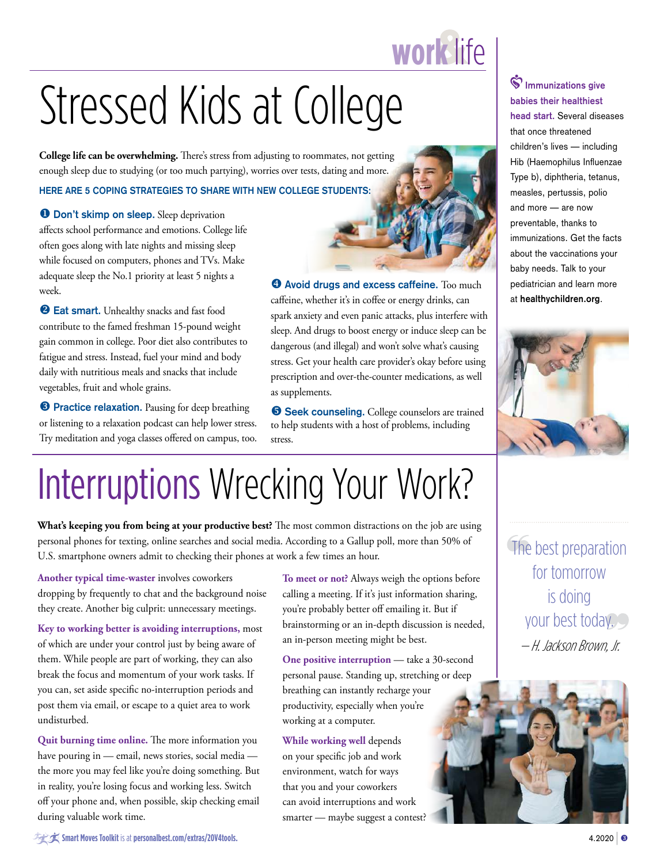### **work**life

## Stressed Kids at College

**College life can be overwhelming.** There's stress from adjusting to roommates, not getting enough sleep due to studying (or too much partying), worries over tests, dating and more.

#### **HERE ARE 5 COPING STRATEGIES TO SHARE WITH NEW COLLEGE STUDENTS:**

**O** Don't skimp on sleep. Sleep deprivation affects school performance and emotions. College life often goes along with late nights and missing sleep while focused on computers, phones and TVs. Make adequate sleep the No.1 priority at least 5 nights a week.

<sup>2</sup> Eat smart. Unhealthy snacks and fast food contribute to the famed freshman 15-pound weight gain common in college. Poor diet also contributes to fatigue and stress. Instead, fuel your mind and body daily with nutritious meals and snacks that include vegetables, fruit and whole grains.

**8 Practice relaxation.** Pausing for deep breathing or listening to a relaxation podcast can help lower stress. Try meditation and yoga classes offered on campus, too.



 $\Theta$  Avoid drugs and excess caffeine. Too much caffeine, whether it's in coffee or energy drinks, can spark anxiety and even panic attacks, plus interfere with sleep. And drugs to boost energy or induce sleep can be dangerous (and illegal) and won't solve what's causing stress. Get your health care provider's okay before using prescription and over-the-counter medications, as well as supplements.

**Seek counseling.** College counselors are trained to help students with a host of problems, including stress.

### **Immunizations give babies their healthiest head start.** Several diseases that once threatened children's lives — including Hib (Haemophilus Influenzae Type b), diphtheria, tetanus, measles, pertussis, polio and more — are now preventable, thanks to immunizations. Get the facts about the vaccinations your baby needs. Talk to your pediatrician and learn more at **[healthychildren.org](http://www.healthychildren.org)**.



### Interruptions Wrecking Your Work?

**What's keeping you from being at your productive best?** The most common distractions on the job are using personal phones for texting, online searches and social media. According to a Gallup poll, more than 50% of U.S. smartphone owners admit to checking their phones at work a few times an hour.

**Another typical time-waster** involves coworkers dropping by frequently to chat and the background noise they create. Another big culprit: unnecessary meetings.

**Key to working better is avoiding interruptions,** most of which are under your control just by being aware of them. While people are part of working, they can also break the focus and momentum of your work tasks. If you can, set aside specific no-interruption periods and post them via email, or escape to a quiet area to work undisturbed.

**Quit burning time online.** The more information you have pouring in — email, news stories, social media the more you may feel like you're doing something. But in reality, you're losing focus and working less. Switch off your phone and, when possible, skip checking email during valuable work time.

**To meet or not?** Always weigh the options before calling a meeting. If it's just information sharing, you're probably better off emailing it. But if brainstorming or an in-depth discussion is needed, an in-person meeting might be best.

**One positive interruption** — take a 30-second personal pause. Standing up, stretching or deep breathing can instantly recharge your productivity, especially when you're working at a computer.

**While working well** depends on your specific job and work environment, watch for ways that you and your coworkers can avoid interruptions and work smarter — maybe suggest a contest? The best preparation for tomorrow is doing your best today. — H. Jackson Brown, Jr.



 $\hat{\mathcal{H}}$  **Smart Moves Toolkit** is at **[personalbest.com/extras/20V4tools](http://personalbest.com/extras/20V4tools).** | 4.2020 | 6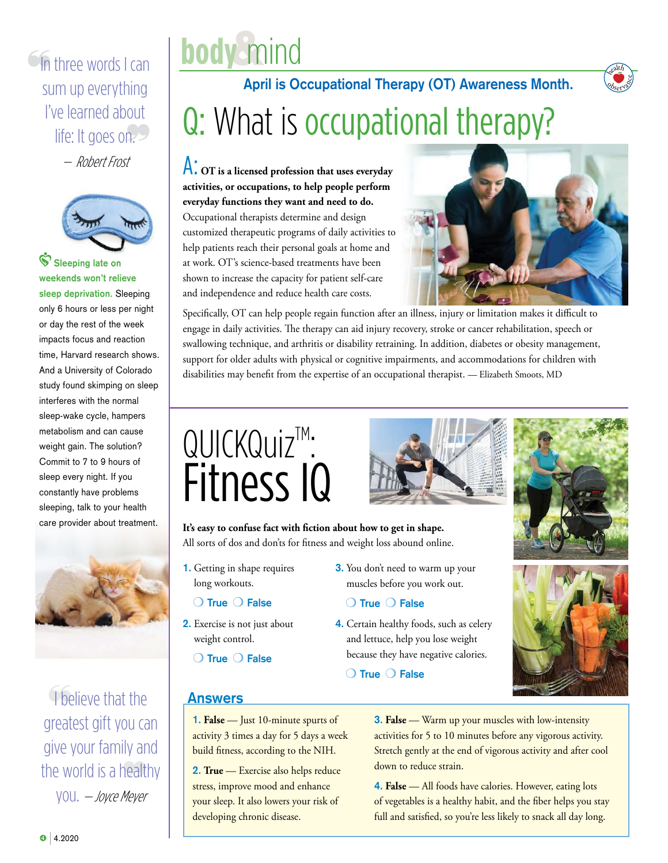### $\circ$  In three words I can sum up everything I've learned about life: It goes on.

— Robert Frost



**Sleeping late on weekends won't relieve sleep deprivation.** Sleeping only 6 hours or less per night or day the rest of the week impacts focus and reaction time, Harvard research shows. And a University of Colorado study found skimping on sleep interferes with the normal sleep-wake cycle, hampers metabolism and can cause weight gain. The solution? Commit to 7 to 9 hours of sleep every night. If you constantly have problems sleeping, talk to your health care provider about treatment.



I believe that the greatest gift you can give your family and the world is a healthy you. — Joyce Meyer



### Q: What is occupational therapy? **April is Occupational Therapy (OT) Awareness Month.**

A: **OT is a licensed profession that uses everyday activities, or occupations, to help people perform everyday functions they want and need to do.**  Occupational therapists determine and design customized therapeutic programs of daily activities to help patients reach their personal goals at home and at work. OT's science-based treatments have been shown to increase the capacity for patient self-care and independence and reduce health care costs.



<sup>h</sup>ealt<sup>h</sup> Observace

Specifically, OT can help people regain function after an illness, injury or limitation makes it difficult to engage in daily activities. The therapy can aid injury recovery, stroke or cancer rehabilitation, speech or swallowing technique, and arthritis or disability retraining. In addition, diabetes or obesity management, support for older adults with physical or cognitive impairments, and accommodations for children with disabilities may benefit from the expertise of an occupational therapist. — Elizabeth Smoots, MD

### $QUICKQuiz^M$ : Fitness IQ



**It's easy to confuse fact with fiction about how to get in shape.**  All sorts of dos and don'ts for fitness and weight loss abound online.

**1.** Getting in shape requires long workouts.

#### O True O False

- **2.** Exercise is not just about weight control.
	- O True O False
- **3.** You don't need to warm up your muscles before you work out.

#### O True O False

**4.** Certain healthy foods, such as celery and lettuce, help you lose weight because they have negative calories.

**O** True **O** False



### **Answers**

**1. False** — Just 10-minute spurts of activity 3 times a day for 5 days a week build fitness, according to the NIH.

**2. True** — Exercise also helps reduce stress, improve mood and enhance your sleep. It also lowers your risk of developing chronic disease.

**3. False** — Warm up your muscles with low-intensity activities for 5 to 10 minutes before any vigorous activity. Stretch gently at the end of vigorous activity and after cool down to reduce strain.

**4. False** — All foods have calories. However, eating lots of vegetables is a healthy habit, and the fiber helps you stay full and satisfied, so you're less likely to snack all day long.

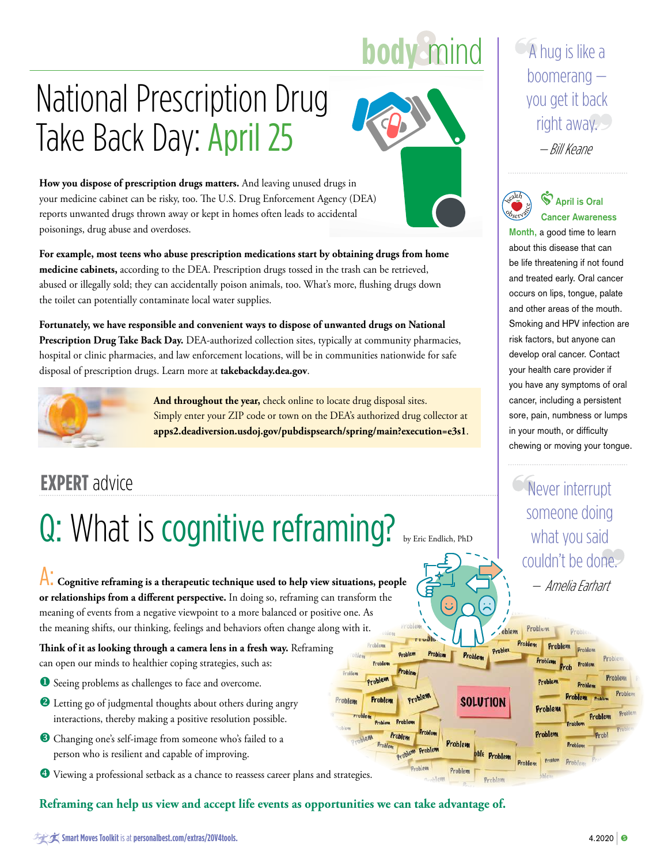### **body** mind

### National Prescription Drug Take Back Day: April 25



**How you dispose of prescription drugs matters.** And leaving unused drugs in your medicine cabinet can be risky, too. The U.S. Drug Enforcement Agency (DEA) reports unwanted drugs thrown away or kept in homes often leads to accidental poisonings, drug abuse and overdoses.

**For example, most teens who abuse prescription medications start by obtaining drugs from home medicine cabinets,** according to the DEA. Prescription drugs tossed in the trash can be retrieved, abused or illegally sold; they can accidentally poison animals, too. What's more, flushing drugs down the toilet can potentially contaminate local water supplies.

**Fortunately, we have responsible and convenient ways to dispose of unwanted drugs on National Prescription Drug Take Back Day.** DEA-authorized collection sites, typically at community pharmacies, hospital or clinic pharmacies, and law enforcement locations, will be in communities nationwide for safe disposal of prescription drugs. Learn more at **[takebackday.dea.gov](http://takebackday.dea.gov)**.



 **And throughout the year,** check online to locate drug disposal sites. Simply enter your ZIP code or town on the DEA's authorized drug collector at **[apps2.deadiversion.usdoj.gov/pubdispsearch/spring/main?execution=e3s1](http://apps2.deadiversion.usdoj.gov/pubdispsearch/spring/main?execution=e3s1)**.

### Q: What is cognitive reframing? by Eric Endlich, PhD

A: **Cognitive reframing is a therapeutic technique used to help view situations, people or relationships from a different perspective.** In doing so, reframing can transform the meaning of events from a negative viewpoint to a more balanced or positive one. As the meaning shifts, our thinking, feelings and behaviors often change along with it.

**Think of it as looking through a camera lens in a fresh way.** Reframing can open our minds to healthier coping strategies, such as:

- **O** Seeing problems as challenges to face and overcome.
- <sup>2</sup> Letting go of judgmental thoughts about others during angry interactions, thereby making a positive resolution possible.
- <sup>8</sup> Changing one's self-image from someone who's failed to a person who is resilient and capable of improving.
- $\bullet$  Viewing a professional setback as a chance to reassess career plans and strategies.

### **Reframing can help us view and accept life events as opportunities we can take advantage of.**

A hug is like a boomerang you get it back right away. — Bill Keane



**April is Oral Cancer Awareness** 

**Month,** a good time to learn about this disease that can be life threatening if not found and treated early. Oral cancer occurs on lips, tongue, palate and other areas of the mouth. Smoking and HPV infection are risk factors, but anyone can develop oral cancer. Contact your health care provider if you have any symptoms of oral cancer, including a persistent sore, pain, numbness or lumps in your mouth, or difficulty chewing or moving your tongue.

**EXPERT** advice **EXPERT** advice someone doing what you said couldn't be done. — Amelia Earhart

Problem

Problem Problem

Probler

Problem

roh

Problem

oblem

SOLUTION

Problem

Problem

Problem

Problem

Problem

Proble

**Oroblem** 

Problem

 $0<sub>Y</sub>$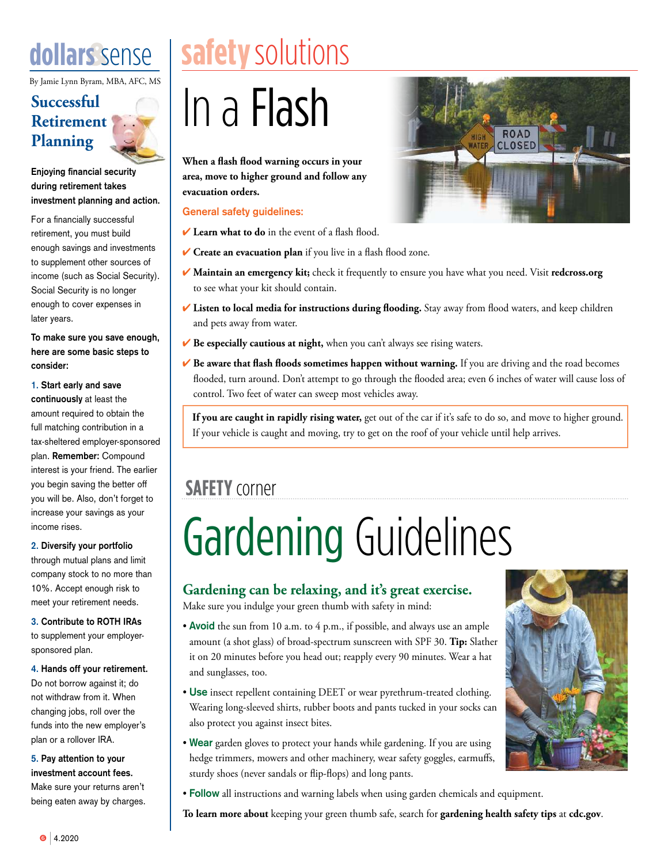By Jamie Lynn Byram, MBA, AFC, MS

### **Successful Retirement Planning**

**Enjoying financial security during retirement takes investment planning and action.**

For a financially successful retirement, you must build enough savings and investments to supplement other sources of income (such as Social Security). Social Security is no longer enough to cover expenses in later years.

**To make sure you save enough, here are some basic steps to consider:**

**1. Start early and save continuously** at least the amount required to obtain the full matching contribution in a tax-sheltered employer-sponsored plan. **Remember:** Compound interest is your friend. The earlier you begin saving the better off you will be. Also, don't forget to increase your savings as your income rises.

**2. Diversify your portfolio** through mutual plans and limit company stock to no more than 10%. Accept enough risk to meet your retirement needs.

**3. Contribute to ROTH IRAs** to supplement your employersponsored plan.

**4. Hands off your retirement.** Do not borrow against it; do not withdraw from it. When changing jobs, roll over the funds into the new employer's plan or a rollover IRA.

**5. Pay attention to your investment account fees.** Make sure your returns aren't being eaten away by charges.

### **dollars** sense | safety solutions

## In a Flash

**When a flash flood warning occurs in your area, move to higher ground and follow any evacuation orders.**

#### **General safety guidelines:**

- 4 **Learn what to do** in the event of a flash flood.
- 4 **Create an evacuation plan** if you live in a flash flood zone.
- 4 **Maintain an emergency kit;** check it frequently to ensure you have what you need. Visit **[redcross.org](http://www.redcross.org)** to see what your kit should contain.
- 4 **Listen to local media for instructions during flooding.** Stay away from flood waters, and keep children and pets away from water.
- **★ Be especially cautious at night,** when you can't always see rising waters.
- 4 **Be aware that flash floods sometimes happen without warning.** If you are driving and the road becomes flooded, turn around. Don't attempt to go through the flooded area; even 6 inches of water will cause loss of control. Two feet of water can sweep most vehicles away.

 **If you are caught in rapidly rising water,** get out of the car if it's safe to do so, and move to higher ground. If your vehicle is caught and moving, try to get on the roof of your vehicle until help arrives.

### **SAFETY** corner

## Gardening Guidelines

### **Gardening can be relaxing, and it's great exercise.**

Make sure you indulge your green thumb with safety in mind:

- **Avoid** the sun from 10 a.m. to 4 p.m., if possible, and always use an ample amount (a shot glass) of broad-spectrum sunscreen with SPF 30. **Tip:** Slather it on 20 minutes before you head out; reapply every 90 minutes. Wear a hat and sunglasses, too.
- **Use** insect repellent containing DEET or wear pyrethrum-treated clothing. Wearing long-sleeved shirts, rubber boots and pants tucked in your socks can also protect you against insect bites.
- **Wear** garden gloves to protect your hands while gardening. If you are using hedge trimmers, mowers and other machinery, wear safety goggles, earmuffs, sturdy shoes (never sandals or flip-flops) and long pants.
- **Follow** all instructions and warning labels when using garden chemicals and equipment.

**To learn more about** keeping your green thumb safe, search for **gardening health safety tips** at **[cdc.gov](http://www.cdc.gov)**.



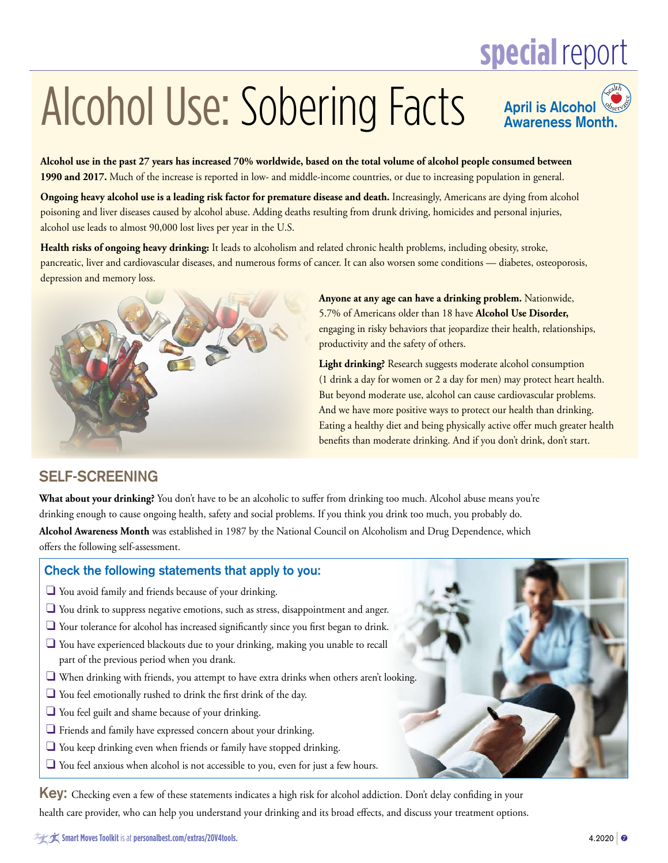### **special**report

## Alcohol Use: Sobering Facts

**April is Alcohol Awareness Month.** <sup>h</sup>ealt<sup>h</sup> Observance

**Alcohol use in the past 27 years has increased 70% worldwide, based on the total volume of alcohol people consumed between 1990 and 2017.** Much of the increase is reported in low- and middle-income countries, or due to increasing population in general.

**Ongoing heavy alcohol use is a leading risk factor for premature disease and death.** Increasingly, Americans are dying from alcohol poisoning and liver diseases caused by alcohol abuse. Adding deaths resulting from drunk driving, homicides and personal injuries, alcohol use leads to almost 90,000 lost lives per year in the U.S.

**Health risks of ongoing heavy drinking:** It leads to alcoholism and related chronic health problems, including obesity, stroke, pancreatic, liver and cardiovascular diseases, and numerous forms of cancer. It can also worsen some conditions — diabetes, osteoporosis, depression and memory loss.



 **Anyone at any age can have a drinking problem.** Nationwide, 5.7% of Americans older than 18 have **Alcohol Use Disorder,** engaging in risky behaviors that jeopardize their health, relationships, productivity and the safety of others.

 **Light drinking?** Research suggests moderate alcohol consumption (1 drink a day for women or 2 a day for men) may protect heart health. But beyond moderate use, alcohol can cause cardiovascular problems. And we have more positive ways to protect our health than drinking. Eating a healthy diet and being physically active offer much greater health benefits than moderate drinking. And if you don't drink, don't start.

### **SELF-SCREENING**

**What about your drinking?** You don't have to be an alcoholic to suffer from drinking too much. Alcohol abuse means you're drinking enough to cause ongoing health, safety and social problems. If you think you drink too much, you probably do.

**Alcohol Awareness Month** was established in 1987 by the National Council on Alcoholism and Drug Dependence, which offers the following self-assessment.

### **Check the following statements that apply to you:**

- $\Box$  You avoid family and friends because of your drinking.
- $\Box$  You drink to suppress negative emotions, such as stress, disappointment and anger.
- $\Box$  Your tolerance for alcohol has increased significantly since you first began to drink.
- $\Box$  You have experienced blackouts due to your drinking, making you unable to recall part of the previous period when you drank.
- $\square$  When drinking with friends, you attempt to have extra drinks when others aren't looking.
- $\Box$  You feel emotionally rushed to drink the first drink of the day.
- $\Box$  You feel guilt and shame because of your drinking.
- $\Box$  Friends and family have expressed concern about your drinking.
- $\Box$  You keep drinking even when friends or family have stopped drinking.
- $\Box$  You feel anxious when alcohol is not accessible to you, even for just a few hours.

**Key:** Checking even a few of these statements indicates a high risk for alcohol addiction. Don't delay confiding in your health care provider, who can help you understand your drinking and its broad effects, and discuss your treatment options.